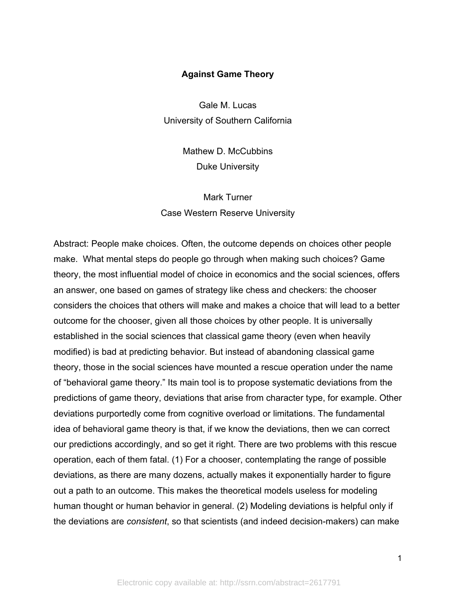# **Against Game Theory**

Gale M. Lucas University of Southern California

> Mathew D. McCubbins Duke University

Mark Turner Case Western Reserve University

Abstract: People make choices. Often, the outcome depends on choices other people make. What mental steps do people go through when making such choices? Game theory, the most influential model of choice in economics and the social sciences, offers an answer, one based on games of strategy like chess and checkers: the chooser considers the choices that others will make and makes a choice that will lead to a better outcome for the chooser, given all those choices by other people. It is universally established in the social sciences that classical game theory (even when heavily modified) is bad at predicting behavior. But instead of abandoning classical game theory, those in the social sciences have mounted a rescue operation under the name of "behavioral game theory." Its main tool is to propose systematic deviations from the predictions of game theory, deviations that arise from character type, for example. Other deviations purportedly come from cognitive overload or limitations. The fundamental idea of behavioral game theory is that, if we know the deviations, then we can correct our predictions accordingly, and so get it right. There are two problems with this rescue operation, each of them fatal. (1) For a chooser, contemplating the range of possible deviations, as there are many dozens, actually makes it exponentially harder to figure out a path to an outcome. This makes the theoretical models useless for modeling human thought or human behavior in general. (2) Modeling deviations is helpful only if the deviations are *consistent*, so that scientists (and indeed decision-makers) can make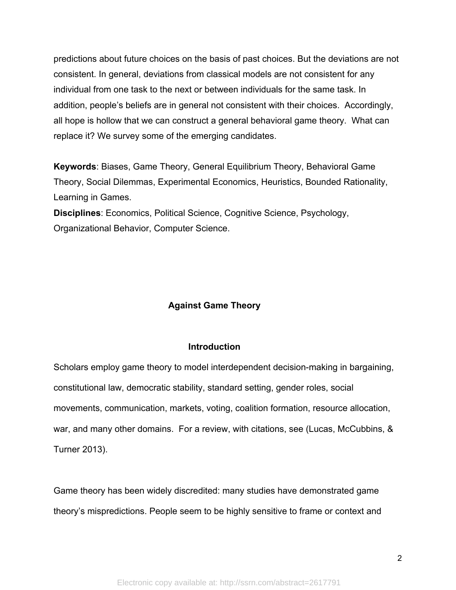predictions about future choices on the basis of past choices. But the deviations are not consistent. In general, deviations from classical models are not consistent for any individual from one task to the next or between individuals for the same task. In addition, people's beliefs are in general not consistent with their choices. Accordingly, all hope is hollow that we can construct a general behavioral game theory. What can replace it? We survey some of the emerging candidates.

**Keywords**: Biases, Game Theory, General Equilibrium Theory, Behavioral Game Theory, Social Dilemmas, Experimental Economics, Heuristics, Bounded Rationality, Learning in Games.

**Disciplines**: Economics, Political Science, Cognitive Science, Psychology, Organizational Behavior, Computer Science.

# **Against Game Theory**

## **Introduction**

Scholars employ game theory to model interdependent decision-making in bargaining, constitutional law, democratic stability, standard setting, gender roles, social movements, communication, markets, voting, coalition formation, resource allocation, war, and many other domains. For a review, with citations, see (Lucas, McCubbins, & Turner 2013).

Game theory has been widely discredited: many studies have demonstrated game theory's mispredictions. People seem to be highly sensitive to frame or context and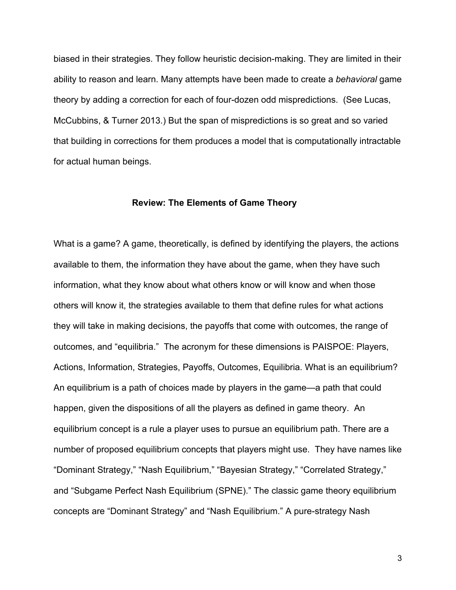biased in their strategies. They follow heuristic decision-making. They are limited in their ability to reason and learn. Many attempts have been made to create a *behavioral* game theory by adding a correction for each of four-dozen odd mispredictions. (See Lucas, McCubbins, & Turner 2013.) But the span of mispredictions is so great and so varied that building in corrections for them produces a model that is computationally intractable for actual human beings.

#### **Review: The Elements of Game Theory**

What is a game? A game, theoretically, is defined by identifying the players, the actions available to them, the information they have about the game, when they have such information, what they know about what others know or will know and when those others will know it, the strategies available to them that define rules for what actions they will take in making decisions, the payoffs that come with outcomes, the range of outcomes, and "equilibria." The acronym for these dimensions is PAISPOE: Players, Actions, Information, Strategies, Payoffs, Outcomes, Equilibria. What is an equilibrium? An equilibrium is a path of choices made by players in the game—a path that could happen, given the dispositions of all the players as defined in game theory. An equilibrium concept is a rule a player uses to pursue an equilibrium path. There are a number of proposed equilibrium concepts that players might use. They have names like "Dominant Strategy," "Nash Equilibrium," "Bayesian Strategy," "Correlated Strategy," and "Subgame Perfect Nash Equilibrium (SPNE)." The classic game theory equilibrium concepts are "Dominant Strategy" and "Nash Equilibrium." A pure-strategy Nash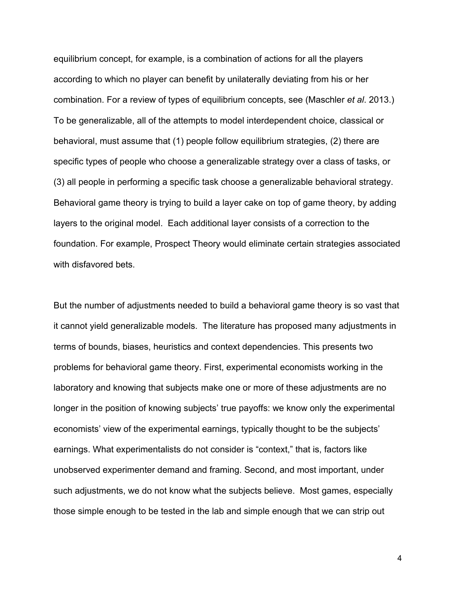equilibrium concept, for example, is a combination of actions for all the players according to which no player can benefit by unilaterally deviating from his or her combination. For a review of types of equilibrium concepts, see (Maschler *et al*. 2013.) To be generalizable, all of the attempts to model interdependent choice, classical or behavioral, must assume that (1) people follow equilibrium strategies, (2) there are specific types of people who choose a generalizable strategy over a class of tasks, or (3) all people in performing a specific task choose a generalizable behavioral strategy. Behavioral game theory is trying to build a layer cake on top of game theory, by adding layers to the original model. Each additional layer consists of a correction to the foundation. For example, Prospect Theory would eliminate certain strategies associated with disfavored bets.

But the number of adjustments needed to build a behavioral game theory is so vast that it cannot yield generalizable models. The literature has proposed many adjustments in terms of bounds, biases, heuristics and context dependencies. This presents two problems for behavioral game theory. First, experimental economists working in the laboratory and knowing that subjects make one or more of these adjustments are no longer in the position of knowing subjects' true payoffs: we know only the experimental economists' view of the experimental earnings, typically thought to be the subjects' earnings. What experimentalists do not consider is "context," that is, factors like unobserved experimenter demand and framing. Second, and most important, under such adjustments, we do not know what the subjects believe. Most games, especially those simple enough to be tested in the lab and simple enough that we can strip out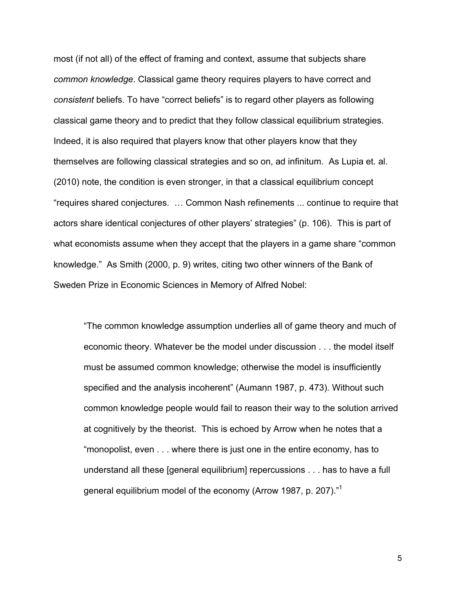most (if not all) of the effect of framing and context, assume that subjects share *common knowledge*. Classical game theory requires players to have correct and *consistent* beliefs. To have "correct beliefs" is to regard other players as following classical game theory and to predict that they follow classical equilibrium strategies. Indeed, it is also required that players know that other players know that they themselves are following classical strategies and so on, ad infinitum. As Lupia et. al. (2010) note, the condition is even stronger, in that a classical equilibrium concept "requires shared conjectures. … Common Nash refinements ... continue to require that actors share identical conjectures of other players' strategies" (p. 106). This is part of what economists assume when they accept that the players in a game share "common knowledge." As Smith (2000, p. 9) writes, citing two other winners of the Bank of Sweden Prize in Economic Sciences in Memory of Alfred Nobel:

"The common knowledge assumption underlies all of game theory and much of economic theory. Whatever be the model under discussion . . . the model itself must be assumed common knowledge; otherwise the model is insufficiently specified and the analysis incoherent" (Aumann 1987, p. 473). Without such common knowledge people would fail to reason their way to the solution arrived at cognitively by the theorist. This is echoed by Arrow when he notes that a "monopolist, even . . . where there is just one in the entire economy, has to understand all these [general equilibrium] repercussions . . . has to have a full general equilibrium model of the economy (Arrow 1987, p. 207)."<sup>1</sup>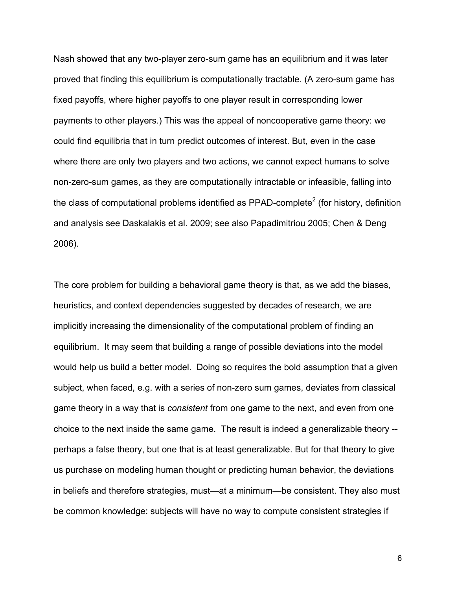Nash showed that any two-player zero-sum game has an equilibrium and it was later proved that finding this equilibrium is computationally tractable. (A zero-sum game has fixed payoffs, where higher payoffs to one player result in corresponding lower payments to other players.) This was the appeal of noncooperative game theory: we could find equilibria that in turn predict outcomes of interest. But, even in the case where there are only two players and two actions, we cannot expect humans to solve non-zero-sum games, as they are computationally intractable or infeasible, falling into the class of computational problems identified as PPAD-complete<sup>2</sup> (for history, definition and analysis see Daskalakis et al. 2009; see also Papadimitriou 2005; Chen & Deng 2006).

The core problem for building a behavioral game theory is that, as we add the biases, heuristics, and context dependencies suggested by decades of research, we are implicitly increasing the dimensionality of the computational problem of finding an equilibrium. It may seem that building a range of possible deviations into the model would help us build a better model. Doing so requires the bold assumption that a given subject, when faced, e.g. with a series of non-zero sum games, deviates from classical game theory in a way that is *consistent* from one game to the next, and even from one choice to the next inside the same game. The result is indeed a generalizable theory - perhaps a false theory, but one that is at least generalizable. But for that theory to give us purchase on modeling human thought or predicting human behavior, the deviations in beliefs and therefore strategies, must—at a minimum—be consistent. They also must be common knowledge: subjects will have no way to compute consistent strategies if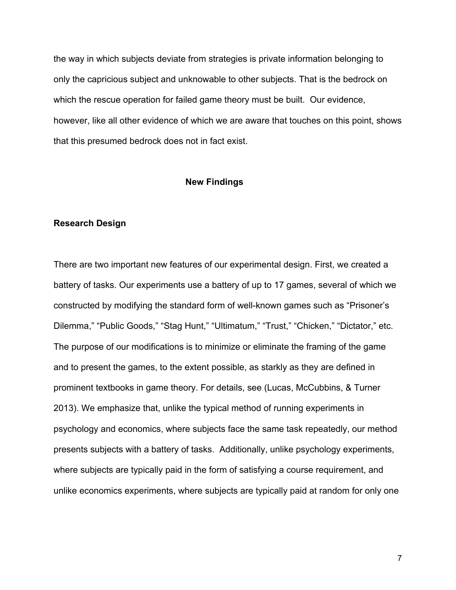the way in which subjects deviate from strategies is private information belonging to only the capricious subject and unknowable to other subjects. That is the bedrock on which the rescue operation for failed game theory must be built. Our evidence, however, like all other evidence of which we are aware that touches on this point, shows that this presumed bedrock does not in fact exist.

## **New Findings**

#### **Research Design**

There are two important new features of our experimental design. First, we created a battery of tasks. Our experiments use a battery of up to 17 games, several of which we constructed by modifying the standard form of well-known games such as "Prisoner's Dilemma," "Public Goods," "Stag Hunt," "Ultimatum," "Trust," "Chicken," "Dictator," etc. The purpose of our modifications is to minimize or eliminate the framing of the game and to present the games, to the extent possible, as starkly as they are defined in prominent textbooks in game theory. For details, see (Lucas, McCubbins, & Turner 2013). We emphasize that, unlike the typical method of running experiments in psychology and economics, where subjects face the same task repeatedly, our method presents subjects with a battery of tasks. Additionally, unlike psychology experiments, where subjects are typically paid in the form of satisfying a course requirement, and unlike economics experiments, where subjects are typically paid at random for only one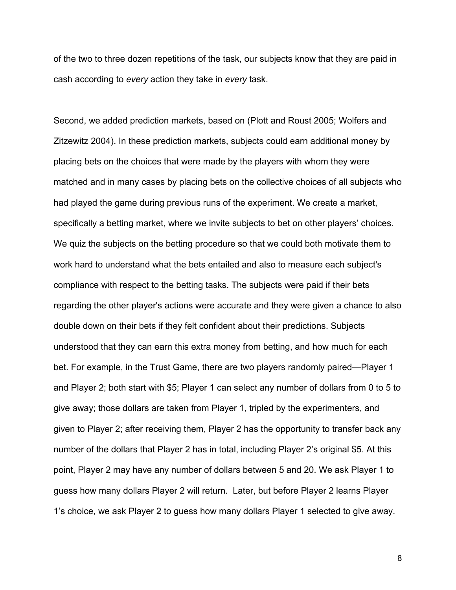of the two to three dozen repetitions of the task, our subjects know that they are paid in cash according to *every* action they take in *every* task.

Second, we added prediction markets, based on (Plott and Roust 2005; Wolfers and Zitzewitz 2004). In these prediction markets, subjects could earn additional money by placing bets on the choices that were made by the players with whom they were matched and in many cases by placing bets on the collective choices of all subjects who had played the game during previous runs of the experiment. We create a market, specifically a betting market, where we invite subjects to bet on other players' choices. We quiz the subjects on the betting procedure so that we could both motivate them to work hard to understand what the bets entailed and also to measure each subject's compliance with respect to the betting tasks. The subjects were paid if their bets regarding the other player's actions were accurate and they were given a chance to also double down on their bets if they felt confident about their predictions. Subjects understood that they can earn this extra money from betting, and how much for each bet. For example, in the Trust Game, there are two players randomly paired—Player 1 and Player 2; both start with \$5; Player 1 can select any number of dollars from 0 to 5 to give away; those dollars are taken from Player 1, tripled by the experimenters, and given to Player 2; after receiving them, Player 2 has the opportunity to transfer back any number of the dollars that Player 2 has in total, including Player 2's original \$5. At this point, Player 2 may have any number of dollars between 5 and 20. We ask Player 1 to guess how many dollars Player 2 will return. Later, but before Player 2 learns Player 1's choice, we ask Player 2 to guess how many dollars Player 1 selected to give away.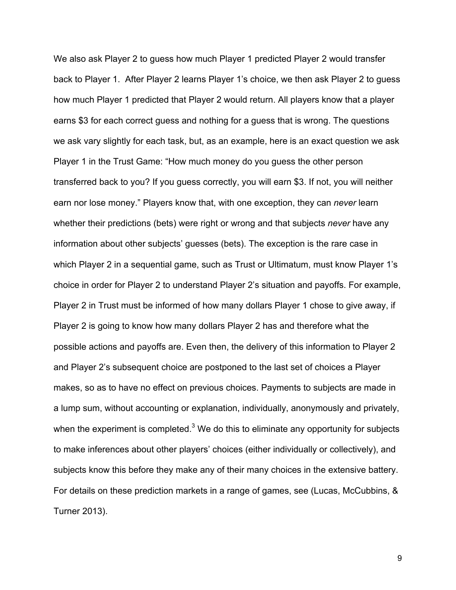We also ask Player 2 to guess how much Player 1 predicted Player 2 would transfer back to Player 1. After Player 2 learns Player 1's choice, we then ask Player 2 to guess how much Player 1 predicted that Player 2 would return. All players know that a player earns \$3 for each correct guess and nothing for a guess that is wrong. The questions we ask vary slightly for each task, but, as an example, here is an exact question we ask Player 1 in the Trust Game: "How much money do you guess the other person transferred back to you? If you guess correctly, you will earn \$3. If not, you will neither earn nor lose money." Players know that, with one exception, they can *never* learn whether their predictions (bets) were right or wrong and that subjects *never* have any information about other subjects' guesses (bets). The exception is the rare case in which Player 2 in a sequential game, such as Trust or Ultimatum, must know Player 1's choice in order for Player 2 to understand Player 2's situation and payoffs. For example, Player 2 in Trust must be informed of how many dollars Player 1 chose to give away, if Player 2 is going to know how many dollars Player 2 has and therefore what the possible actions and payoffs are. Even then, the delivery of this information to Player 2 and Player 2's subsequent choice are postponed to the last set of choices a Player makes, so as to have no effect on previous choices. Payments to subjects are made in a lump sum, without accounting or explanation, individually, anonymously and privately, when the experiment is completed. $3$  We do this to eliminate any opportunity for subjects to make inferences about other players' choices (either individually or collectively), and subjects know this before they make any of their many choices in the extensive battery. For details on these prediction markets in a range of games, see (Lucas, McCubbins, & Turner 2013).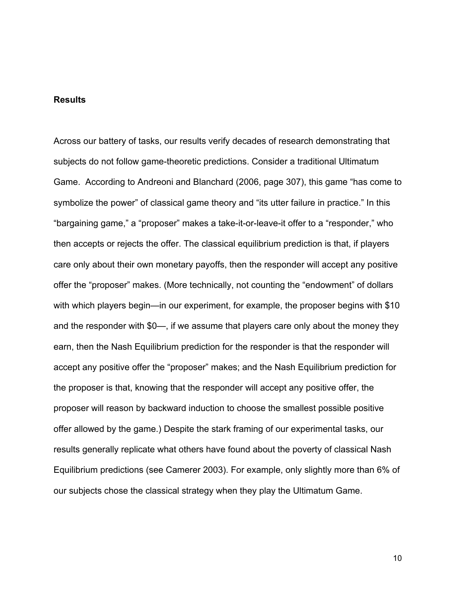#### **Results**

Across our battery of tasks, our results verify decades of research demonstrating that subjects do not follow game-theoretic predictions. Consider a traditional Ultimatum Game. According to Andreoni and Blanchard (2006, page 307), this game "has come to symbolize the power" of classical game theory and "its utter failure in practice." In this "bargaining game," a "proposer" makes a take-it-or-leave-it offer to a "responder," who then accepts or rejects the offer. The classical equilibrium prediction is that, if players care only about their own monetary payoffs, then the responder will accept any positive offer the "proposer" makes. (More technically, not counting the "endowment" of dollars with which players begin—in our experiment, for example, the proposer begins with \$10 and the responder with \$0—, if we assume that players care only about the money they earn, then the Nash Equilibrium prediction for the responder is that the responder will accept any positive offer the "proposer" makes; and the Nash Equilibrium prediction for the proposer is that, knowing that the responder will accept any positive offer, the proposer will reason by backward induction to choose the smallest possible positive offer allowed by the game.) Despite the stark framing of our experimental tasks, our results generally replicate what others have found about the poverty of classical Nash Equilibrium predictions (see Camerer 2003). For example, only slightly more than 6% of our subjects chose the classical strategy when they play the Ultimatum Game.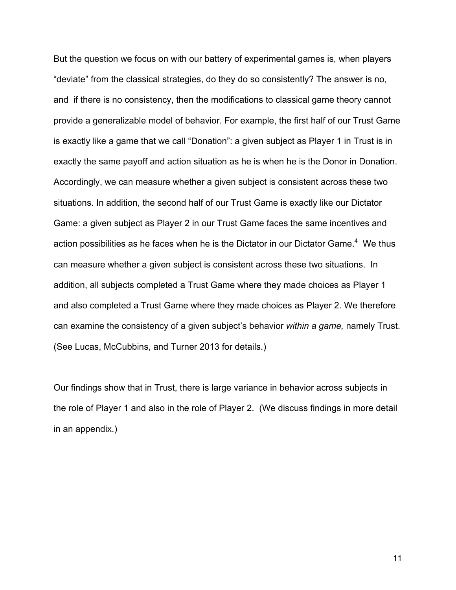But the question we focus on with our battery of experimental games is, when players "deviate" from the classical strategies, do they do so consistently? The answer is no, and if there is no consistency, then the modifications to classical game theory cannot provide a generalizable model of behavior. For example, the first half of our Trust Game is exactly like a game that we call "Donation": a given subject as Player 1 in Trust is in exactly the same payoff and action situation as he is when he is the Donor in Donation. Accordingly, we can measure whether a given subject is consistent across these two situations. In addition, the second half of our Trust Game is exactly like our Dictator Game: a given subject as Player 2 in our Trust Game faces the same incentives and action possibilities as he faces when he is the Dictator in our Dictator Game. $^4$  We thus can measure whether a given subject is consistent across these two situations. In addition, all subjects completed a Trust Game where they made choices as Player 1 and also completed a Trust Game where they made choices as Player 2. We therefore can examine the consistency of a given subject's behavior *within a game,* namely Trust. (See Lucas, McCubbins, and Turner 2013 for details.)

Our findings show that in Trust, there is large variance in behavior across subjects in the role of Player 1 and also in the role of Player 2. (We discuss findings in more detail in an appendix.)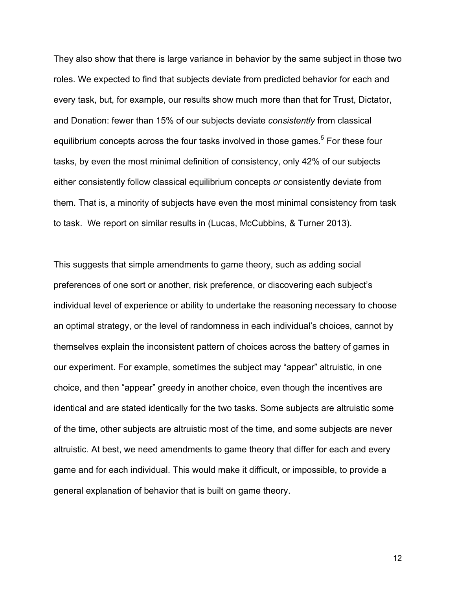They also show that there is large variance in behavior by the same subject in those two roles. We expected to find that subjects deviate from predicted behavior for each and every task, but, for example, our results show much more than that for Trust, Dictator, and Donation: fewer than 15% of our subjects deviate *consistently* from classical equilibrium concepts across the four tasks involved in those games.<sup>5</sup> For these four tasks, by even the most minimal definition of consistency, only 42% of our subjects either consistently follow classical equilibrium concepts *or* consistently deviate from them. That is, a minority of subjects have even the most minimal consistency from task to task. We report on similar results in (Lucas, McCubbins, & Turner 2013).

This suggests that simple amendments to game theory, such as adding social preferences of one sort or another, risk preference, or discovering each subject's individual level of experience or ability to undertake the reasoning necessary to choose an optimal strategy, or the level of randomness in each individual's choices, cannot by themselves explain the inconsistent pattern of choices across the battery of games in our experiment. For example, sometimes the subject may "appear" altruistic, in one choice, and then "appear" greedy in another choice, even though the incentives are identical and are stated identically for the two tasks. Some subjects are altruistic some of the time, other subjects are altruistic most of the time, and some subjects are never altruistic. At best, we need amendments to game theory that differ for each and every game and for each individual. This would make it difficult, or impossible, to provide a general explanation of behavior that is built on game theory.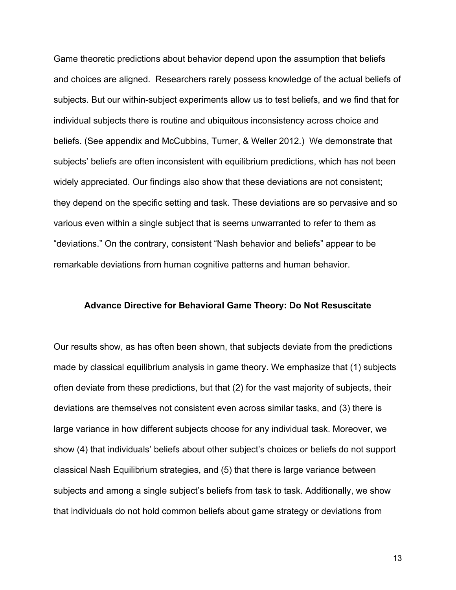Game theoretic predictions about behavior depend upon the assumption that beliefs and choices are aligned. Researchers rarely possess knowledge of the actual beliefs of subjects. But our within-subject experiments allow us to test beliefs, and we find that for individual subjects there is routine and ubiquitous inconsistency across choice and beliefs. (See appendix and McCubbins, Turner, & Weller 2012.) We demonstrate that subjects' beliefs are often inconsistent with equilibrium predictions, which has not been widely appreciated. Our findings also show that these deviations are not consistent; they depend on the specific setting and task. These deviations are so pervasive and so various even within a single subject that is seems unwarranted to refer to them as "deviations." On the contrary, consistent "Nash behavior and beliefs" appear to be remarkable deviations from human cognitive patterns and human behavior.

#### **Advance Directive for Behavioral Game Theory: Do Not Resuscitate**

Our results show, as has often been shown, that subjects deviate from the predictions made by classical equilibrium analysis in game theory. We emphasize that (1) subjects often deviate from these predictions, but that (2) for the vast majority of subjects, their deviations are themselves not consistent even across similar tasks, and (3) there is large variance in how different subjects choose for any individual task. Moreover, we show (4) that individuals' beliefs about other subject's choices or beliefs do not support classical Nash Equilibrium strategies, and (5) that there is large variance between subjects and among a single subject's beliefs from task to task. Additionally, we show that individuals do not hold common beliefs about game strategy or deviations from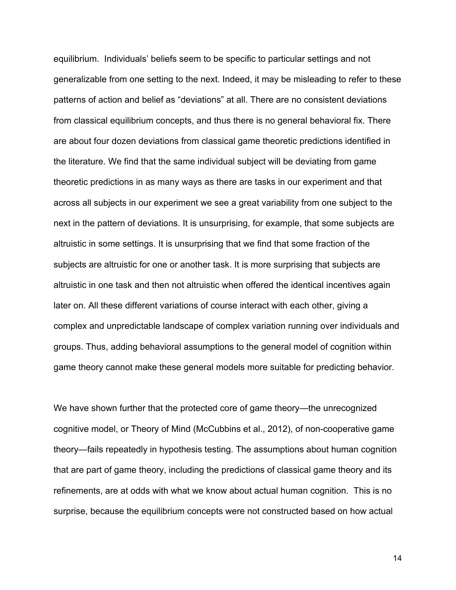equilibrium. Individuals' beliefs seem to be specific to particular settings and not generalizable from one setting to the next. Indeed, it may be misleading to refer to these patterns of action and belief as "deviations" at all. There are no consistent deviations from classical equilibrium concepts, and thus there is no general behavioral fix. There are about four dozen deviations from classical game theoretic predictions identified in the literature. We find that the same individual subject will be deviating from game theoretic predictions in as many ways as there are tasks in our experiment and that across all subjects in our experiment we see a great variability from one subject to the next in the pattern of deviations. It is unsurprising, for example, that some subjects are altruistic in some settings. It is unsurprising that we find that some fraction of the subjects are altruistic for one or another task. It is more surprising that subjects are altruistic in one task and then not altruistic when offered the identical incentives again later on. All these different variations of course interact with each other, giving a complex and unpredictable landscape of complex variation running over individuals and groups. Thus, adding behavioral assumptions to the general model of cognition within game theory cannot make these general models more suitable for predicting behavior.

We have shown further that the protected core of game theory—the unrecognized cognitive model, or Theory of Mind (McCubbins et al., 2012), of non-cooperative game theory—fails repeatedly in hypothesis testing. The assumptions about human cognition that are part of game theory, including the predictions of classical game theory and its refinements, are at odds with what we know about actual human cognition. This is no surprise, because the equilibrium concepts were not constructed based on how actual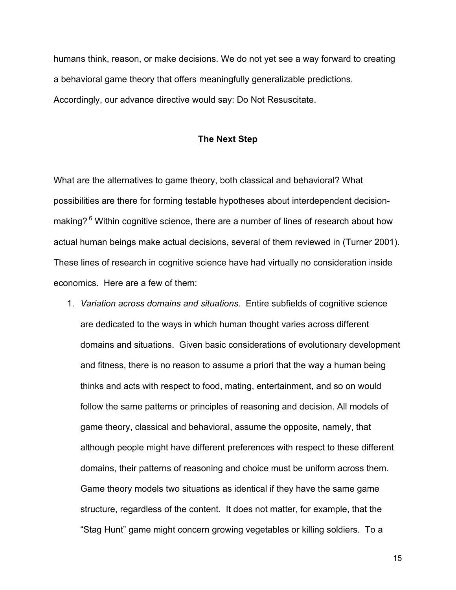humans think, reason, or make decisions. We do not yet see a way forward to creating a behavioral game theory that offers meaningfully generalizable predictions. Accordingly, our advance directive would say: Do Not Resuscitate.

### **The Next Step**

What are the alternatives to game theory, both classical and behavioral? What possibilities are there for forming testable hypotheses about interdependent decisionmaking? <sup>6</sup> Within cognitive science, there are a number of lines of research about how actual human beings make actual decisions, several of them reviewed in (Turner 2001). These lines of research in cognitive science have had virtually no consideration inside economics. Here are a few of them:

1. *Variation across domains and situations*. Entire subfields of cognitive science are dedicated to the ways in which human thought varies across different domains and situations. Given basic considerations of evolutionary development and fitness, there is no reason to assume a priori that the way a human being thinks and acts with respect to food, mating, entertainment, and so on would follow the same patterns or principles of reasoning and decision. All models of game theory, classical and behavioral, assume the opposite, namely, that although people might have different preferences with respect to these different domains, their patterns of reasoning and choice must be uniform across them. Game theory models two situations as identical if they have the same game structure, regardless of the content. It does not matter, for example, that the "Stag Hunt" game might concern growing vegetables or killing soldiers. To a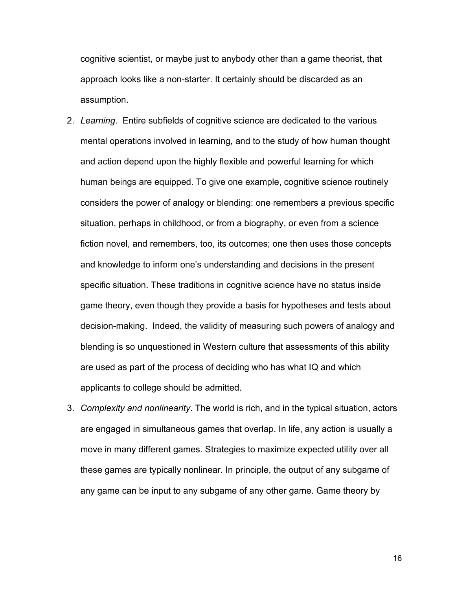cognitive scientist, or maybe just to anybody other than a game theorist, that approach looks like a non-starter. It certainly should be discarded as an assumption.

- 2. *Learning*. Entire subfields of cognitive science are dedicated to the various mental operations involved in learning, and to the study of how human thought and action depend upon the highly flexible and powerful learning for which human beings are equipped. To give one example, cognitive science routinely considers the power of analogy or blending: one remembers a previous specific situation, perhaps in childhood, or from a biography, or even from a science fiction novel, and remembers, too, its outcomes; one then uses those concepts and knowledge to inform one's understanding and decisions in the present specific situation. These traditions in cognitive science have no status inside game theory, even though they provide a basis for hypotheses and tests about decision-making. Indeed, the validity of measuring such powers of analogy and blending is so unquestioned in Western culture that assessments of this ability are used as part of the process of deciding who has what IQ and which applicants to college should be admitted.
- 3. *Complexity and nonlinearity*. The world is rich, and in the typical situation, actors are engaged in simultaneous games that overlap. In life, any action is usually a move in many different games. Strategies to maximize expected utility over all these games are typically nonlinear. In principle, the output of any subgame of any game can be input to any subgame of any other game. Game theory by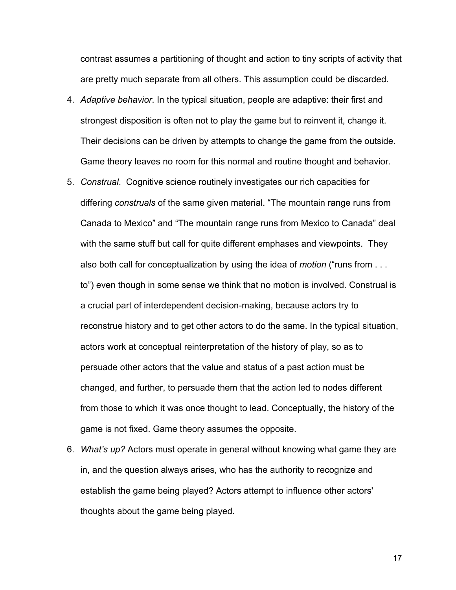contrast assumes a partitioning of thought and action to tiny scripts of activity that are pretty much separate from all others. This assumption could be discarded.

- 4. *Adaptive behavior*. In the typical situation, people are adaptive: their first and strongest disposition is often not to play the game but to reinvent it, change it. Their decisions can be driven by attempts to change the game from the outside. Game theory leaves no room for this normal and routine thought and behavior.
- 5. *Construal*. Cognitive science routinely investigates our rich capacities for differing *construals* of the same given material. "The mountain range runs from Canada to Mexico" and "The mountain range runs from Mexico to Canada" deal with the same stuff but call for quite different emphases and viewpoints. They also both call for conceptualization by using the idea of *motion* ("runs from . . . to") even though in some sense we think that no motion is involved. Construal is a crucial part of interdependent decision-making, because actors try to reconstrue history and to get other actors to do the same. In the typical situation, actors work at conceptual reinterpretation of the history of play, so as to persuade other actors that the value and status of a past action must be changed, and further, to persuade them that the action led to nodes different from those to which it was once thought to lead. Conceptually, the history of the game is not fixed. Game theory assumes the opposite.
- 6. *What's up?* Actors must operate in general without knowing what game they are in, and the question always arises, who has the authority to recognize and establish the game being played? Actors attempt to influence other actors' thoughts about the game being played.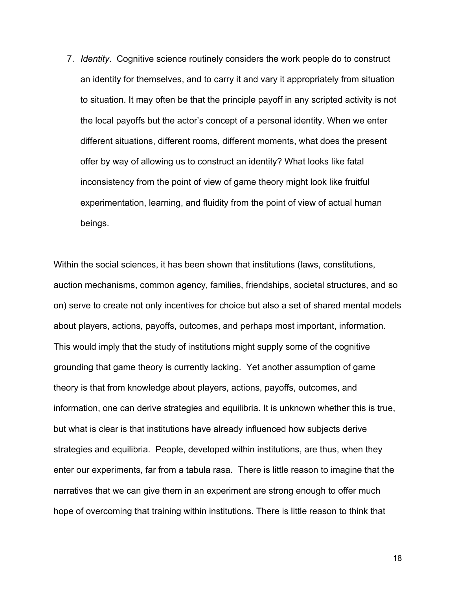7. *Identity*. Cognitive science routinely considers the work people do to construct an identity for themselves, and to carry it and vary it appropriately from situation to situation. It may often be that the principle payoff in any scripted activity is not the local payoffs but the actor's concept of a personal identity. When we enter different situations, different rooms, different moments, what does the present offer by way of allowing us to construct an identity? What looks like fatal inconsistency from the point of view of game theory might look like fruitful experimentation, learning, and fluidity from the point of view of actual human beings.

Within the social sciences, it has been shown that institutions (laws, constitutions, auction mechanisms, common agency, families, friendships, societal structures, and so on) serve to create not only incentives for choice but also a set of shared mental models about players, actions, payoffs, outcomes, and perhaps most important, information. This would imply that the study of institutions might supply some of the cognitive grounding that game theory is currently lacking. Yet another assumption of game theory is that from knowledge about players, actions, payoffs, outcomes, and information, one can derive strategies and equilibria. It is unknown whether this is true, but what is clear is that institutions have already influenced how subjects derive strategies and equilibria. People, developed within institutions, are thus, when they enter our experiments, far from a tabula rasa. There is little reason to imagine that the narratives that we can give them in an experiment are strong enough to offer much hope of overcoming that training within institutions. There is little reason to think that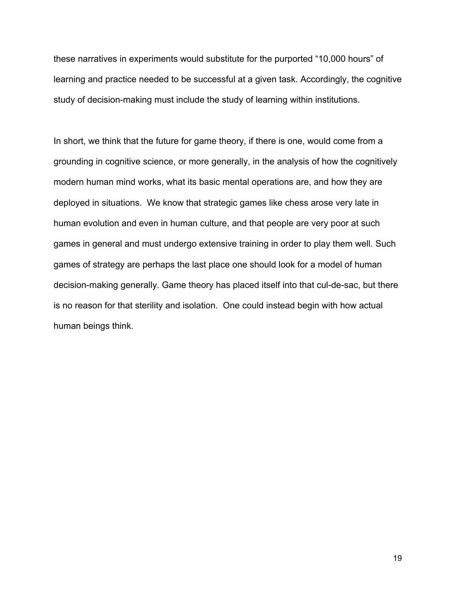these narratives in experiments would substitute for the purported "10,000 hours" of learning and practice needed to be successful at a given task. Accordingly, the cognitive study of decision-making must include the study of learning within institutions.

In short, we think that the future for game theory, if there is one, would come from a grounding in cognitive science, or more generally, in the analysis of how the cognitively modern human mind works, what its basic mental operations are, and how they are deployed in situations. We know that strategic games like chess arose very late in human evolution and even in human culture, and that people are very poor at such games in general and must undergo extensive training in order to play them well. Such games of strategy are perhaps the last place one should look for a model of human decision-making generally. Game theory has placed itself into that cul-de-sac, but there is no reason for that sterility and isolation. One could instead begin with how actual human beings think.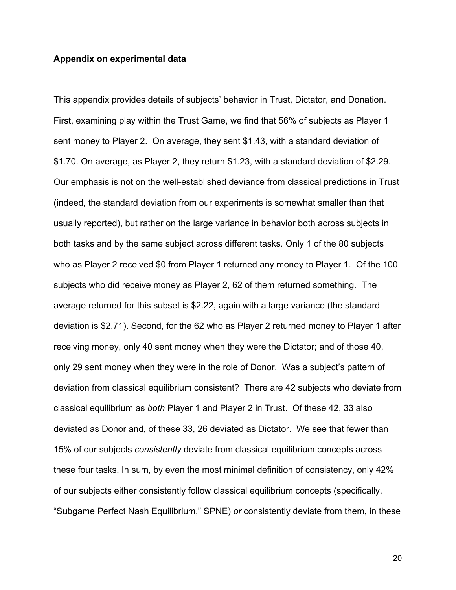### **Appendix on experimental data**

This appendix provides details of subjects' behavior in Trust, Dictator, and Donation. First, examining play within the Trust Game, we find that 56% of subjects as Player 1 sent money to Player 2. On average, they sent \$1.43, with a standard deviation of \$1.70. On average, as Player 2, they return \$1.23, with a standard deviation of \$2.29. Our emphasis is not on the well-established deviance from classical predictions in Trust (indeed, the standard deviation from our experiments is somewhat smaller than that usually reported), but rather on the large variance in behavior both across subjects in both tasks and by the same subject across different tasks. Only 1 of the 80 subjects who as Player 2 received \$0 from Player 1 returned any money to Player 1. Of the 100 subjects who did receive money as Player 2, 62 of them returned something. The average returned for this subset is \$2.22, again with a large variance (the standard deviation is \$2.71). Second, for the 62 who as Player 2 returned money to Player 1 after receiving money, only 40 sent money when they were the Dictator; and of those 40, only 29 sent money when they were in the role of Donor. Was a subject's pattern of deviation from classical equilibrium consistent? There are 42 subjects who deviate from classical equilibrium as *both* Player 1 and Player 2 in Trust. Of these 42, 33 also deviated as Donor and, of these 33, 26 deviated as Dictator. We see that fewer than 15% of our subjects *consistently* deviate from classical equilibrium concepts across these four tasks. In sum, by even the most minimal definition of consistency, only 42% of our subjects either consistently follow classical equilibrium concepts (specifically, "Subgame Perfect Nash Equilibrium," SPNE) *or* consistently deviate from them, in these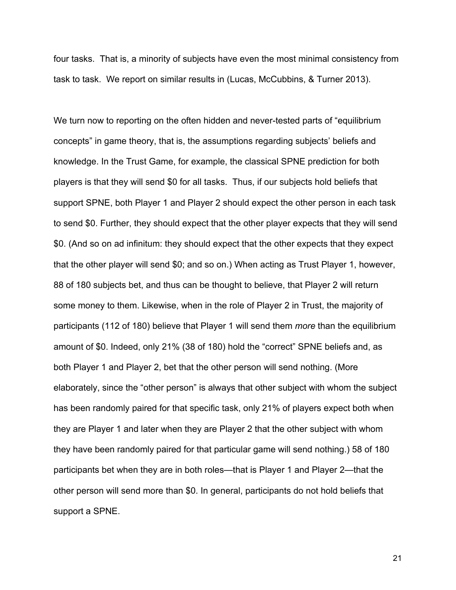four tasks. That is, a minority of subjects have even the most minimal consistency from task to task. We report on similar results in (Lucas, McCubbins, & Turner 2013).

We turn now to reporting on the often hidden and never-tested parts of "equilibrium" concepts" in game theory, that is, the assumptions regarding subjects' beliefs and knowledge. In the Trust Game, for example, the classical SPNE prediction for both players is that they will send \$0 for all tasks. Thus, if our subjects hold beliefs that support SPNE, both Player 1 and Player 2 should expect the other person in each task to send \$0. Further, they should expect that the other player expects that they will send \$0. (And so on ad infinitum: they should expect that the other expects that they expect that the other player will send \$0; and so on.) When acting as Trust Player 1, however, 88 of 180 subjects bet, and thus can be thought to believe, that Player 2 will return some money to them. Likewise, when in the role of Player 2 in Trust, the majority of participants (112 of 180) believe that Player 1 will send them *more* than the equilibrium amount of \$0. Indeed, only 21% (38 of 180) hold the "correct" SPNE beliefs and, as both Player 1 and Player 2, bet that the other person will send nothing. (More elaborately, since the "other person" is always that other subject with whom the subject has been randomly paired for that specific task, only 21% of players expect both when they are Player 1 and later when they are Player 2 that the other subject with whom they have been randomly paired for that particular game will send nothing.) 58 of 180 participants bet when they are in both roles—that is Player 1 and Player 2—that the other person will send more than \$0. In general, participants do not hold beliefs that support a SPNE.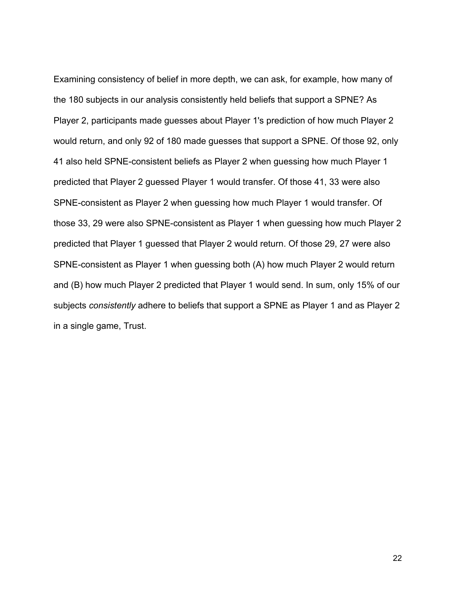Examining consistency of belief in more depth, we can ask, for example, how many of the 180 subjects in our analysis consistently held beliefs that support a SPNE? As Player 2, participants made guesses about Player 1's prediction of how much Player 2 would return, and only 92 of 180 made guesses that support a SPNE. Of those 92, only 41 also held SPNE-consistent beliefs as Player 2 when guessing how much Player 1 predicted that Player 2 guessed Player 1 would transfer. Of those 41, 33 were also SPNE-consistent as Player 2 when guessing how much Player 1 would transfer. Of those 33, 29 were also SPNE-consistent as Player 1 when guessing how much Player 2 predicted that Player 1 guessed that Player 2 would return. Of those 29, 27 were also SPNE-consistent as Player 1 when guessing both (A) how much Player 2 would return and (B) how much Player 2 predicted that Player 1 would send. In sum, only 15% of our subjects *consistently* adhere to beliefs that support a SPNE as Player 1 and as Player 2 in a single game, Trust.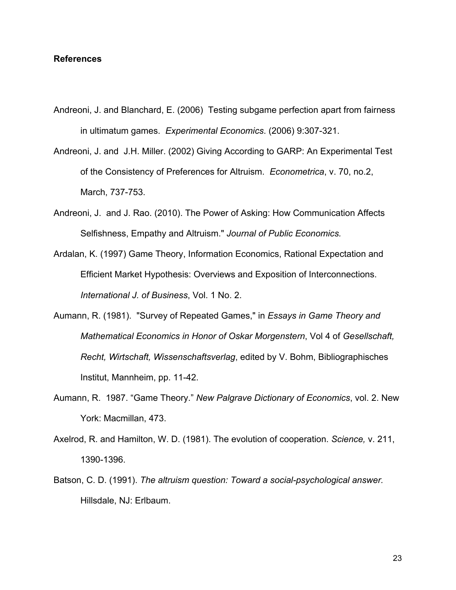# **References**

- Andreoni, J. and Blanchard, E. (2006) Testing subgame perfection apart from fairness in ultimatum games. *Experimental Economics*. (2006) 9:307-321.
- Andreoni, J. and J.H. Miller. (2002) Giving According to GARP: An Experimental Test of the Consistency of Preferences for Altruism. *Econometrica*, v. 70, no.2, March, 737-753.
- Andreoni, J. and J. Rao. (2010). The Power of Asking: How Communication Affects Selfishness, Empathy and Altruism." *Journal of Public Economics.*
- Ardalan, K. (1997) Game Theory, Information Economics, Rational Expectation and Efficient Market Hypothesis: Overviews and Exposition of Interconnections. *International J. of Business*, Vol. 1 No. 2.
- Aumann, R. (1981). "Survey of Repeated Games," in *Essays in Game Theory and Mathematical Economics in Honor of Oskar Morgenstern*, Vol 4 of *Gesellschaft, Recht, Wirtschaft, Wissenschaftsverlag*, edited by V. Bohm, Bibliographisches Institut, Mannheim, pp. 11-42.
- Aumann, R. 1987. "Game Theory." *New Palgrave Dictionary of Economics*, vol. 2. New York: Macmillan, 473.
- Axelrod, R. and Hamilton, W. D. (1981). The evolution of cooperation. *Science,* v. 211, 1390-1396.
- Batson, C. D. (1991). *The altruism question: Toward a social-psychological answer.*  Hillsdale, NJ: Erlbaum.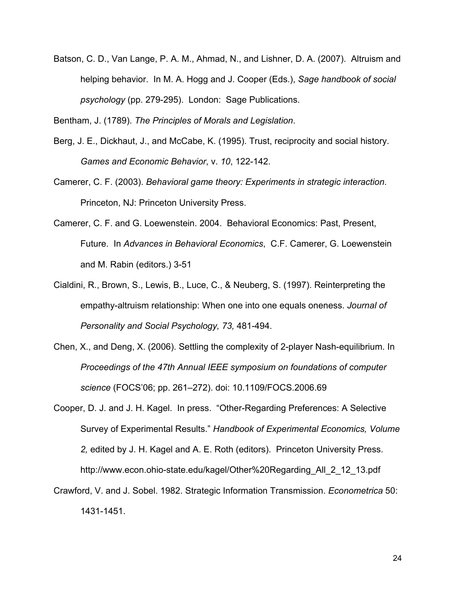Batson, C. D., Van Lange, P. A. M., Ahmad, N., and Lishner, D. A. (2007). Altruism and helping behavior. In M. A. Hogg and J. Cooper (Eds.), *Sage handbook of social psychology* (pp. 279-295). London: Sage Publications.

Bentham, J. (1789). *The Principles of Morals and Legislation*.

- Berg, J. E., Dickhaut, J., and McCabe, K. (1995). Trust, reciprocity and social history. *Games and Economic Behavior*, v. *10*, 122-142.
- Camerer, C. F. (2003). *Behavioral game theory: Experiments in strategic interaction*. Princeton, NJ: Princeton University Press.
- Camerer, C. F. and G. Loewenstein. 2004. Behavioral Economics: Past, Present, Future. In *Advances in Behavioral Economics*, C.F. Camerer, G. Loewenstein and M. Rabin (editors.) 3-51
- Cialdini, R., Brown, S., Lewis, B., Luce, C., & Neuberg, S. (1997). Reinterpreting the empathy-altruism relationship: When one into one equals oneness. *Journal of Personality and Social Psychology, 73,* 481-494.
- Chen, X., and Deng, X. (2006). Settling the complexity of 2-player Nash-equilibrium. In *Proceedings of the 47th Annual IEEE symposium on foundations of computer science* (FOCS'06; pp. 261–272). doi: 10.1109/FOCS.2006.69
- Cooper, D. J. and J. H. Kagel. In press. "Other-Regarding Preferences: A Selective Survey of Experimental Results." *Handbook of Experimental Economics, Volume 2,* edited by J. H. Kagel and A. E. Roth (editors). Princeton University Press. http://www.econ.ohio-state.edu/kagel/Other%20Regarding\_All\_2\_12\_13.pdf
- Crawford, V. and J. Sobel. 1982. Strategic Information Transmission. *Econometrica* 50: 1431-1451.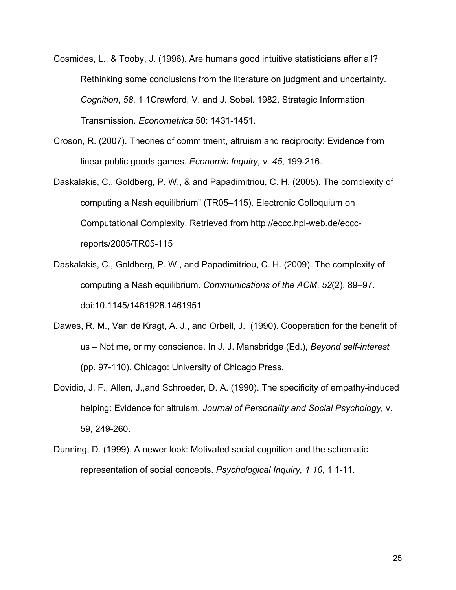- Cosmides, L., & Tooby, J. (1996). Are humans good intuitive statisticians after all? Rethinking some conclusions from the literature on judgment and uncertainty. *Cognition*, *58*, 1 1Crawford, V. and J. Sobel. 1982. Strategic Information Transmission. *Econometrica* 50: 1431-1451.
- Croson, R. (2007). Theories of commitment, altruism and reciprocity: Evidence from linear public goods games. *Economic Inquiry, v. 45*, 199-216.
- Daskalakis, C., Goldberg, P. W., & and Papadimitriou, C. H. (2005). The complexity of computing a Nash equilibrium" (TR05–115). Electronic Colloquium on Computational Complexity. Retrieved from http://eccc.hpi-web.de/ecccreports/2005/TR05-115
- Daskalakis, C., Goldberg, P. W., and Papadimitriou, C. H. (2009). The complexity of computing a Nash equilibrium. *Communications of the ACM*, *52*(2), 89–97. doi:10.1145/1461928.1461951
- Dawes, R. M., Van de Kragt, A. J., and Orbell, J. (1990). Cooperation for the benefit of us – Not me, or my conscience. In J. J. Mansbridge (Ed.), *Beyond self-interest* (pp. 97-110). Chicago: University of Chicago Press.
- Dovidio, J. F., Allen, J.,and Schroeder, D. A. (1990). The specificity of empathy-induced helping: Evidence for altruism. *Journal of Personality and Social Psychology,* v. 59*,* 249-260.
- Dunning, D. (1999). A newer look: Motivated social cognition and the schematic representation of social concepts. *Psychological Inquiry, 1 10*, 1 1-11.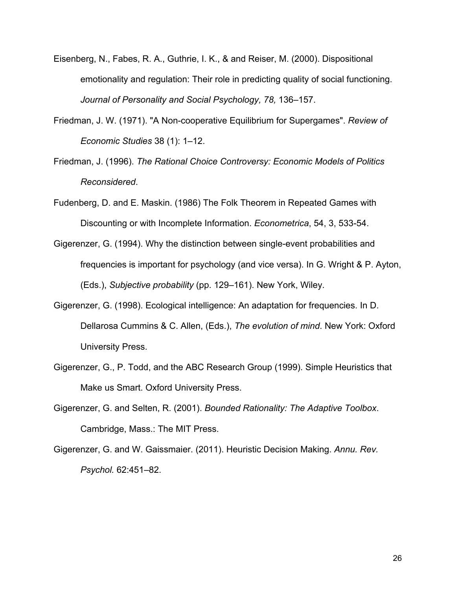- Eisenberg, N., Fabes, R. A., Guthrie, I. K., & and Reiser, M. (2000). Dispositional emotionality and regulation: Their role in predicting quality of social functioning. *Journal of Personality and Social Psychology, 78,* 136–157.
- Friedman, J. W. (1971). "A Non-cooperative Equilibrium for Supergames". *Review of Economic Studies* 38 (1): 1–12.
- Friedman, J. (1996). *The Rational Choice Controversy: Economic Models of Politics Reconsidered*.
- Fudenberg, D. and E. Maskin. (1986) The Folk Theorem in Repeated Games with Discounting or with Incomplete Information. *Econometrica*, 54, 3, 533-54.
- Gigerenzer, G. (1994). Why the distinction between single-event probabilities and frequencies is important for psychology (and vice versa). In G. Wright & P. Ayton, (Eds.), *Subjective probability* (pp. 129–161). New York, Wiley.
- Gigerenzer, G. (1998). Ecological intelligence: An adaptation for frequencies. In D. Dellarosa Cummins & C. Allen, (Eds.), *The evolution of mind*. New York: Oxford University Press.
- Gigerenzer, G., P. Todd, and the ABC Research Group (1999). Simple Heuristics that Make us Smart. Oxford University Press.
- Gigerenzer, G. and Selten, R. (2001). *Bounded Rationality: The Adaptive Toolbox*. Cambridge, Mass.: The MIT Press.
- Gigerenzer, G. and W. Gaissmaier. (2011). Heuristic Decision Making. *Annu. Rev. Psychol.* 62:451–82.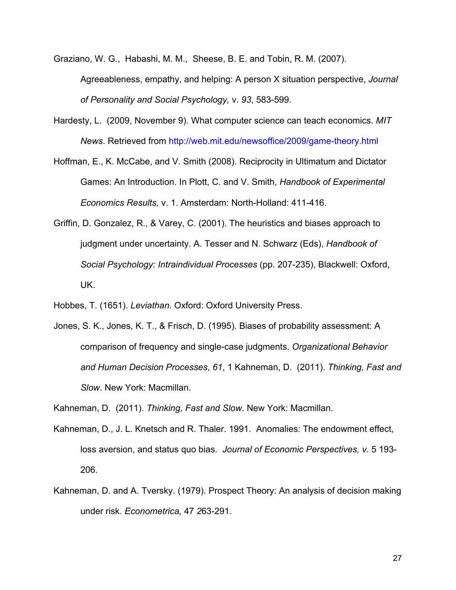Graziano, W. G., Habashi, M. M., Sheese, B. E. and Tobin, R. M. (2007).

Agreeableness, empathy, and helping: A person X situation perspective, *Journal of Personality and Social Psychology,* v. *93*, 583-599.

- Hardesty, L. (2009, November 9). What computer science can teach economics. *MIT News*. Retrieved from http://web.mit.edu/newsoffice/2009/game-theory.html
- Hoffman, E., K. McCabe, and V. Smith (2008). Reciprocity in Ultimatum and Dictator Games: An Introduction. In Plott, C. and V. Smith, *Handbook of Experimental Economics Results,* v. 1. Amsterdam: North-Holland: 411-416.
- Griffin, D. Gonzalez, R., & Varey, C. (2001). The heuristics and biases approach to judgment under uncertainty. A. Tesser and N. Schwarz (Eds), *Handbook of Social Psychology: Intraindividual Processes* (pp. 207-235), Blackwell: Oxford, UK.
- Hobbes, T. (1651). *Leviathan*. Oxford: Oxford University Press.
- Jones, S. K., Jones, K. T., & Frisch, D. (1995). Biases of probability assessment: A comparison of frequency and single-case judgments. *Organizational Behavior and Human Decision Processes*, *61*, 1 Kahneman, D. (2011). *Thinking, Fast and Slow*. New York: Macmillan.
- Kahneman, D. (2011). *Thinking, Fast and Slow*. New York: Macmillan.
- Kahneman, D., J. L. Knetsch and R. Thaler. 1991. Anomalies: The endowment effect, loss aversion, and status quo bias. *Journal of Economic Perspectives, v.* 5 193- 206.
- Kahneman, D. and A. Tversky. (1979). Prospect Theory: An analysis of decision making under risk. *Econometrica,* 47 *2*63-291.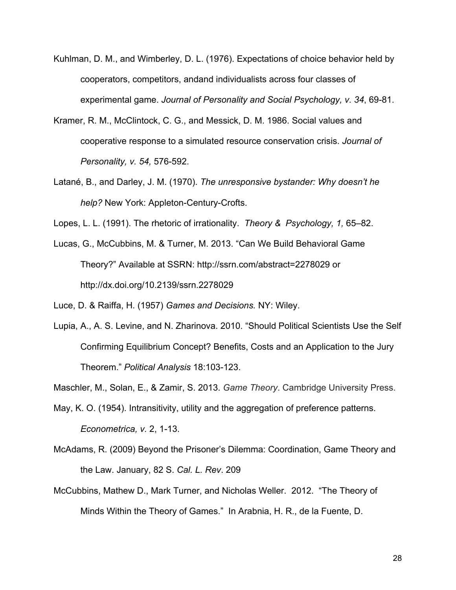- Kuhlman, D. M., and Wimberley, D. L. (1976). Expectations of choice behavior held by cooperators, competitors, andand individualists across four classes of experimental game. *Journal of Personality and Social Psychology, v. 34*, 69-81.
- Kramer, R. M., McClintock, C. G., and Messick, D. M. 1986. Social values and cooperative response to a simulated resource conservation crisis. *Journal of Personality, v. 54,* 576-592.
- Latané, B., and Darley, J. M. (1970). *The unresponsive bystander: Why doesn't he help?* New York: Appleton-Century-Crofts.
- Lopes, L. L. (1991). The rhetoric of irrationality. *Theory & Psychology, 1,* 65–82.
- Lucas, G., McCubbins, M. & Turner, M. 2013. "Can We Build Behavioral Game Theory?" Available at SSRN: http://ssrn.com/abstract=2278029 or http://dx.doi.org/10.2139/ssrn.2278029
- Luce, D. & Raiffa, H. (1957) *Games and Decisions.* NY: Wiley.
- Lupia, A., A. S. Levine, and N. Zharinova. 2010. "Should Political Scientists Use the Self Confirming Equilibrium Concept? Benefits, Costs and an Application to the Jury Theorem." *Political Analysis* 18:103-123.
- Maschler, M., Solan, E., & Zamir, S. 2013. *Game Theory*. Cambridge University Press.
- May, K. O. (1954). Intransitivity, utility and the aggregation of preference patterns. *Econometrica, v.* 2, 1-13.
- McAdams, R. (2009) Beyond the Prisoner's Dilemma: Coordination, Game Theory and the Law. January, 82 S. *Cal. L. Rev*. 209
- McCubbins, Mathew D., Mark Turner, and Nicholas Weller. 2012. "The Theory of Minds Within the Theory of Games." In Arabnia, H. R., de la Fuente, D.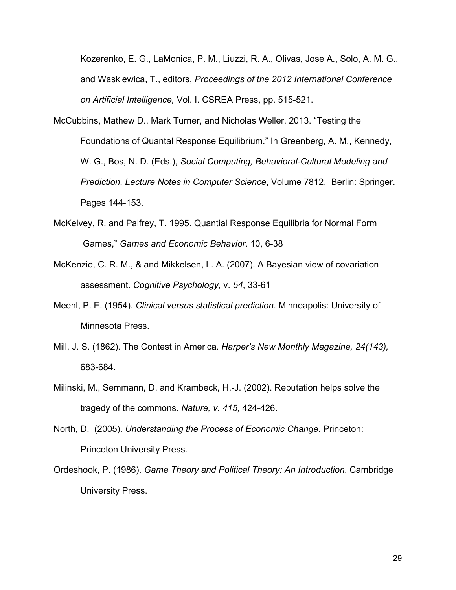Kozerenko, E. G., LaMonica, P. M., Liuzzi, R. A., Olivas, Jose A., Solo, A. M. G., and Waskiewica, T., editors, *Proceedings of the 2012 International Conference on Artificial Intelligence,* Vol. I. CSREA Press, pp. 515-521.

- McCubbins, Mathew D., Mark Turner, and Nicholas Weller. 2013. "Testing the Foundations of Quantal Response Equilibrium." In Greenberg, A. M., Kennedy, W. G., Bos, N. D. (Eds.), *Social Computing, Behavioral-Cultural Modeling and Prediction. Lecture Notes in Computer Science*, Volume 7812. Berlin: Springer. Pages 144-153.
- McKelvey, R. and Palfrey, T. 1995. Quantial Response Equilibria for Normal Form Games," *Games and Economic Behavior*. 10, 6-38
- McKenzie, C. R. M., & and Mikkelsen, L. A. (2007). A Bayesian view of covariation assessment. *Cognitive Psychology*, v. *54*, 33-61
- Meehl, P. E. (1954). *Clinical versus statistical prediction*. Minneapolis: University of Minnesota Press.
- Mill, J. S. (1862). The Contest in America. *Harper's New Monthly Magazine, 24(143),*  683-684.
- Milinski, M., Semmann, D. and Krambeck, H.-J. (2002). Reputation helps solve the tragedy of the commons. *Nature, v. 415,* 424-426.
- North, D. (2005). *Understanding the Process of Economic Change*. Princeton: Princeton University Press.
- Ordeshook, P. (1986). *Game Theory and Political Theory: An Introduction*. Cambridge University Press.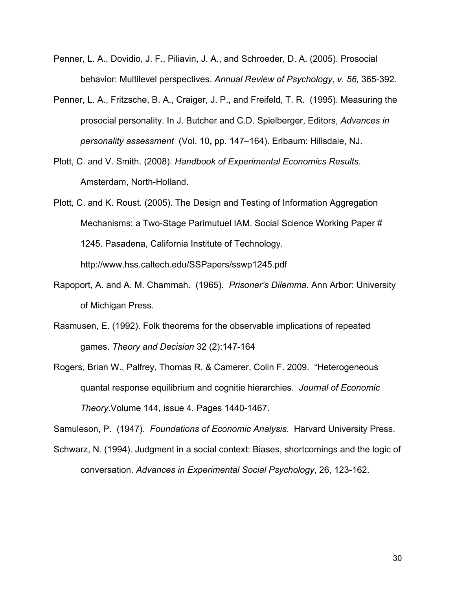- Penner, L. A., Dovidio, J. F., Piliavin, J. A., and Schroeder, D. A. (2005). Prosocial behavior: Multilevel perspectives. *Annual Review of Psychology, v. 56,* 365-392.
- Penner, L. A., Fritzsche, B. A., Craiger, J. P., and Freifeld, T. R. (1995). Measuring the prosocial personality. In J. Butcher and C.D. Spielberger, Editors, *Advances in personality assessment* (Vol. 10**,** pp. 147–164). Erlbaum: Hillsdale, NJ.
- Plott, C. and V. Smith. (2008). *Handbook of Experimental Economics Results*. Amsterdam, North-Holland.
- Plott, C. and K. Roust. (2005). The Design and Testing of Information Aggregation Mechanisms: a Two-Stage Parimutuel IAM. Social Science Working Paper # 1245. Pasadena, California Institute of Technology. http://www.hss.caltech.edu/SSPapers/sswp1245.pdf
- Rapoport, A. and A. M. Chammah. (1965). *Prisoner's Dilemma.* Ann Arbor: University of Michigan Press.
- Rasmusen, E. (1992). Folk theorems for the observable implications of repeated games. *Theory and Decision* 32 (2):147-164
- Rogers, Brian W., Palfrey, Thomas R. & Camerer, Colin F. 2009. "Heterogeneous quantal response equilibrium and cognitie hierarchies. *Journal of Economic Theory.*Volume 144, issue 4*.* Pages 1440-1467.

Samuleson, P. (1947). *Foundations of Economic Analysis*. Harvard University Press.

Schwarz, N. (1994). Judgment in a social context: Biases, shortcomings and the logic of conversation. *Advances in Experimental Social Psychology*, 26, 123-162.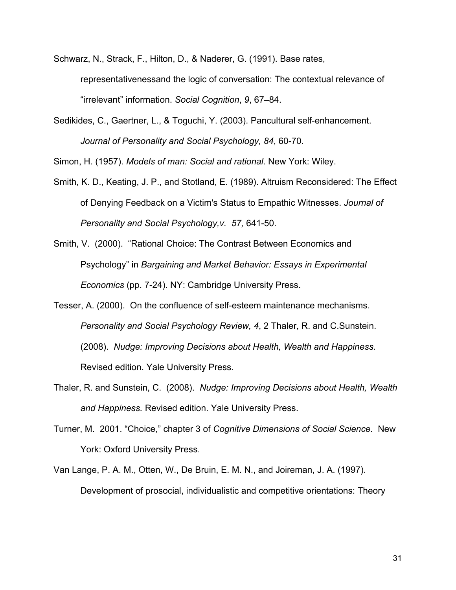Schwarz, N., Strack, F., Hilton, D., & Naderer, G. (1991). Base rates, representativenessand the logic of conversation: The contextual relevance of "irrelevant" information. *Social Cognition*, *9*, 67–84.

Sedikides, C., Gaertner, L., & Toguchi, Y. (2003). Pancultural self-enhancement. *Journal of Personality and Social Psychology, 84*, 60-70.

Simon, H. (1957). *Models of man: Social and rational*. New York: Wiley.

- Smith, K. D., Keating, J. P., and Stotland, E. (1989). Altruism Reconsidered: The Effect of Denying Feedback on a Victim's Status to Empathic Witnesses. *Journal of Personality and Social Psychology,v. 57,* 641-50.
- Smith, V. (2000). "Rational Choice: The Contrast Between Economics and Psychology" in *Bargaining and Market Behavior: Essays in Experimental Economics* (pp. 7-24). NY: Cambridge University Press.
- Tesser, A. (2000). On the confluence of self-esteem maintenance mechanisms. *Personality and Social Psychology Review, 4*, 2 Thaler, R. and C.Sunstein. (2008). *Nudge: Improving Decisions about Health, Wealth and Happiness.* Revised edition. Yale University Press.
- Thaler, R. and Sunstein, C. (2008). *Nudge: Improving Decisions about Health, Wealth and Happiness.* Revised edition. Yale University Press.
- Turner, M. 2001. "Choice," chapter 3 of *Cognitive Dimensions of Social Science.* New York: Oxford University Press.
- Van Lange, P. A. M., Otten, W., De Bruin, E. M. N., and Joireman, J. A. (1997). Development of prosocial, individualistic and competitive orientations: Theory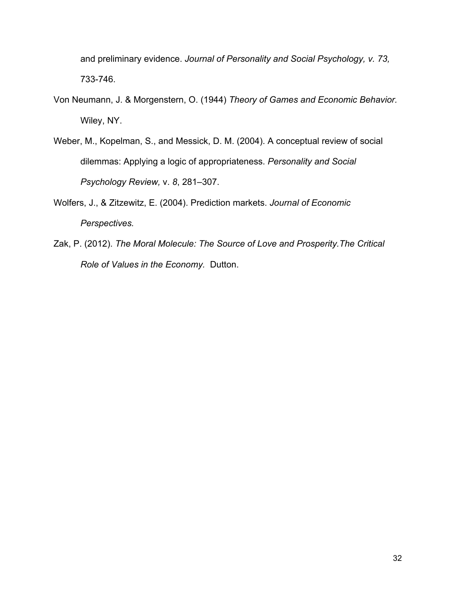and preliminary evidence. *Journal of Personality and Social Psychology, v. 73,* 733-746.

- Von Neumann, J. & Morgenstern, O. (1944) *Theory of Games and Economic Behavior.* Wiley, NY.
- Weber, M., Kopelman, S., and Messick, D. M. (2004). A conceptual review of social dilemmas: Applying a logic of appropriateness. *Personality and Social Psychology Review,* v. *8*, 281–307.
- Wolfers, J., & Zitzewitz, E. (2004). Prediction markets. *Journal of Economic Perspectives.*
- Zak, P. (2012). *The Moral Molecule: The Source of Love and Prosperity.The Critical Role of Values in the Economy.* Dutton.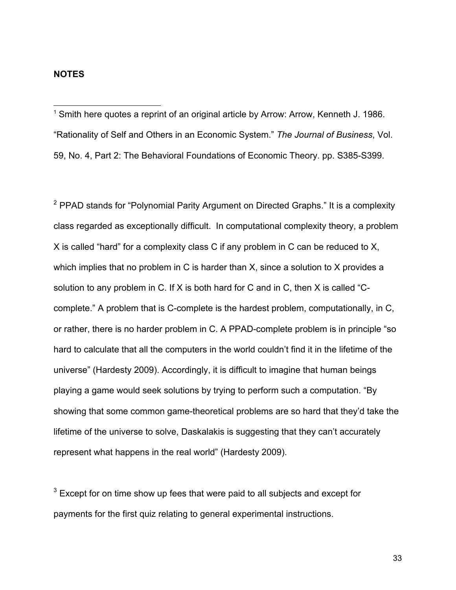$1$  Smith here quotes a reprint of an original article by Arrow: Arrow, Kenneth J. 1986. "Rationality of Self and Others in an Economic System." *The Journal of Business*, Vol. 59, No. 4, Part 2: The Behavioral Foundations of Economic Theory. pp. S385-S399.

 $2$  PPAD stands for "Polynomial Parity Argument on Directed Graphs." It is a complexity class regarded as exceptionally difficult. In computational complexity theory, a problem X is called "hard" for a complexity class C if any problem in C can be reduced to X, which implies that no problem in C is harder than X, since a solution to X provides a solution to any problem in C. If X is both hard for C and in C, then X is called "Ccomplete." A problem that is C-complete is the hardest problem, computationally, in C, or rather, there is no harder problem in C. A PPAD-complete problem is in principle "so hard to calculate that all the computers in the world couldn't find it in the lifetime of the universe" (Hardesty 2009). Accordingly, it is difficult to imagine that human beings playing a game would seek solutions by trying to perform such a computation. "By showing that some common game-theoretical problems are so hard that they'd take the lifetime of the universe to solve, Daskalakis is suggesting that they can't accurately represent what happens in the real world" (Hardesty 2009).

 $3$  Except for on time show up fees that were paid to all subjects and except for payments for the first quiz relating to general experimental instructions.